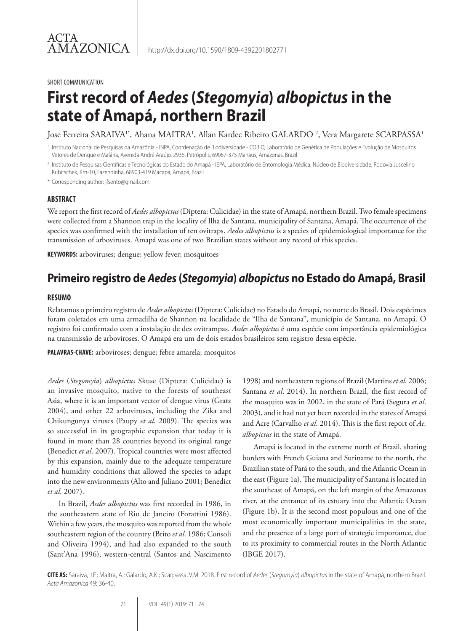#### SHORT COMMUNICATION

# **First record of** *Aedes* **(***Stegomyia***)** *albopictus* **in the state of Amapá, northern Brazil**

Jose Ferreira SARAIVA<sup>1\*</sup>, Ahana MAITRA<sup>1</sup>, Allan Kardec Ribeiro GALARDO <sup>2</sup>, Vera Margarete SCARPASSA<sup>1</sup>

Instituto Nacional de Pesquisas da Amazônia - INPA, Coordenação de Biodiversidade - COBIO, Laboratório de Genética de Populações e Evolução de Mosquitos Vetores de Dengue e Malária, Avenida André Araújo, 2936, Petrópolis, 69067-375 Manaus, Amazonas, Brazil

<sup>2</sup> Instituto de Pesquisas Científicas e Tecnológicas do Estado do Amapá - IEPA, Laboratório de Entomologia Médica, Núcleo de Biodiversidade, Rodovia Juscelino Kubitschek, Km-10, Fazendinha, 68903-419 Macapá, Amapá, Brazil

\* Corresponding author: jfsento@gmail.com

#### **ABSTRACT**

We report the first record of *Aedes albopictus* (Diptera: Culicidae) in the state of Amapá, northern Brazil. Two female specimens were collected from a Shannon trap in the locality of Ilha de Santana, municipality of Santana, Amapá. The occurrence of the species was confirmed with the installation of ten ovitraps. *Aedes albopictus* is a species of epidemiological importance for the transmission of arboviruses. Amapá was one of two Brazilian states without any record of this species.

**KEYWORDS:** arboviruses; dengue; yellow fever; mosquitoes

## **Primeiro registro de** *Aedes* **(***Stegomyia***)** *albopictus* **no Estado do Amapá, Brasil**

#### **RESUMO**

Relatamos o primeiro registro de *Aedes albopictus* (Diptera: Culicidae) no Estado do Amapá, no norte do Brasil. Dois espécimes foram coletados em uma armadilha de Shannon na localidade de "Ilha de Santana", município de Santana, no Amapá. O registro foi confirmado com a instalação de dez ovitrampas. *Aedes albopictus* é uma espécie com importância epidemiológica na transmissão de arboviroses. O Amapá era um de dois estados brasileiros sem registro dessa espécie.

**PALAVRAS-CHAVE:** arboviroses; dengue; febre amarela; mosquitos

*Aedes* (*Stegomyia*) *albopictus* Skuse (Diptera: Culicidae) is an invasive mosquito, native to the forests of southeast Asia, where it is an important vector of dengue virus (Gratz 2004), and other 22 arboviruses, including the Zika and Chikungunya viruses (Paupy *et al*. 2009). The species was so successful in its geographic expansion that today it is found in more than 28 countries beyond its original range (Benedict *et al*. 2007). Tropical countries were most affected by this expansion, mainly due to the adequate temperature and humidity conditions that allowed the species to adapt into the new environments (Alto and Juliano 2001; Benedict *et al*. 2007).

In Brazil, *Aedes albopictus* was first recorded in 1986, in the southeastern state of Rio de Janeiro (Forattini 1986). Within a few years, the mosquito was reported from the whole southeastern region of the country (Brito *et al*. 1986; Consoli and Oliveira 1994), and had also expanded to the south (Sant'Ana 1996), western-central (Santos and Nascimento

1998) and northeastern regions of Brazil (Martins *et al.* 2006; Santana *et al*. 2014). In northern Brazil, the first record of the mosquito was in 2002, in the state of Pará (Segura *et al*. 2003), and it had not yet been recorded in the states of Amapá and Acre (Carvalho *et al*. 2014). This is the first report of *Ae. albopictus* in the state of Amapá.

Amapá is located in the extreme north of Brazil, sharing borders with French Guiana and Suriname to the north, the Brazilian state of Pará to the south, and the Atlantic Ocean in the east (Figure 1a). The municipality of Santana is located in the southeast of Amapá, on the left margin of the Amazonas river, at the entrance of its estuary into the Atlantic Ocean (Figure 1b). It is the second most populous and one of the most economically important municipalities in the state, and the presence of a large port of strategic importance, due to its proximity to commercial routes in the North Atlantic (IBGE 2017).

**CITE AS:** Saraiva, J.F.; Maitra, A.; Galardo, A.K.; Scarpassa, V.M. 2018. First record of *Aedes* (*Stegomyia*) *albopictus* in the state of Amapá, northern Brazil. *Acta Amazonica* 49: 36-40.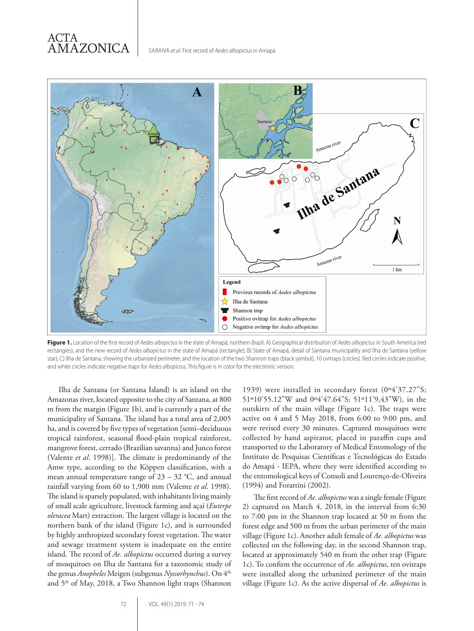### ACTA AMAZONICA



**Figure 1.** Location of the first record of *Aedes albopictus* in the state of Amapá, northern Brazil. A) Geographical distribution of *Aedes albopictus* in South America (red rectangles), and the new record of *Aedes albopictus* in the state of Amapá (rectangle); B) State of Amapá, detail of Santana municipality and Ilha de Santana (yellow star); C) Ilha de Santana, showing the urbanized perimeter, and the location of the two Shannon traps (black symbol), 10 ovitraps (circles). Red circles indicate positive, and white circles indicate negative traps for *Aedes albopictus*. This figure is in color for the electronic version.

Ilha de Santana (or Santana Island) is an island on the Amazonas river, located opposite to the city of Santana, at 800 m from the margin (Figure 1b), and is currently a part of the municipality of Santana. The island has a total area of 2,005 ha, and is covered by five types of vegetation [semi–deciduous tropical rainforest, seasonal flood-plain tropical rainforest, mangrove forest, cerrado (Brazilian savanna) and Junco forest (Valente *et al*. 1998)]. The climate is predominantly of the Amw type, according to the Köppen classification, with a mean annual temperature range of  $23 - 32$  °C, and annual rainfall varying from 60 to 1,900 mm (Valente *et al*. 1998). The island is sparsely populated, with inhabitants living mainly of small scale agriculture, livestock farming and açaí (*Euterpe oleracea* Mart) extraction. The largest village is located on the northern bank of the island (Figure 1c), and is surrounded by highly anthropized secondary forest vegetation. The water and sewage treatment system is inadequate on the entire island. The record of *Ae. albopictus* occurred during a survey of mosquitoes on Ilha de Santana for a taxonomic study of the genus *Anopheles* Meigen (subgenus *Nyssorhynchus*). On 4th and 5<sup>th</sup> of May, 2018, a Two Shannon light traps (Shannon 1939) were installed in secondary forest (0º4'37.27"S; 51º10'55.12"W and 0º4'47.64"S; 51º11'9,43"W), in the outskirts of the main village (Figure 1c). The traps were active on 4 and 5 May 2018, from 6:00 to 9:00 pm, and were revised every 30 minutes. Captured mosquitoes were collected by hand aspirator, placed in paraffin cups and transported to the Laboratory of Medical Entomology of the Instituto de Pesquisas Científicas e Tecnológicas do Estado do Amapá - IEPA, where they were identified according to the entomological keys of Consoli and Lourenço-de-Oliveira (1994) and Forattini (2002).

The first record of *Ae. albopictus* was a single female (Figure 2) captured on March 4, 2018, in the interval from 6:30 to 7:00 pm in the Shannon trap located at 50 m from the forest edge and 500 m from the urban perimeter of the main village (Figure 1c). Another adult female of *Ae. albopictus* was collected on the following day, in the second Shannon trap, located at approximately 540 m from the other trap (Figure 1c). To confirm the occurrence of *Ae. albopictus*, ten ovitraps were installed along the urbanized perimeter of the main village (Figure 1c). As the active dispersal of *Ae. albopictus* is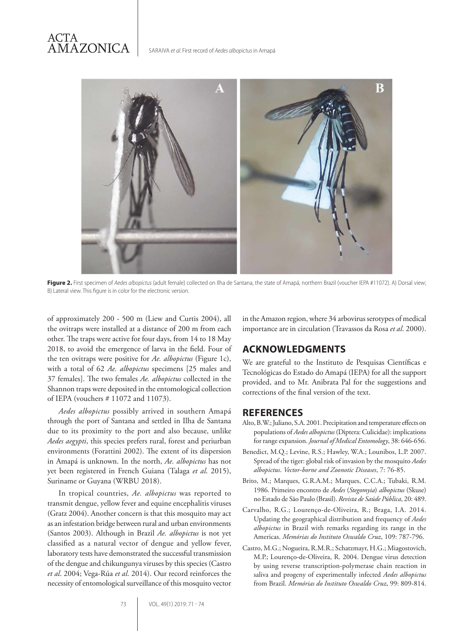

**Figure 2.** First specimen of *Aedes albopictus* (adult female) collected on Ilha de Santana, the state of Amapá, northern Brazil (voucher IEPA #11072). A) Dorsal view; B) Lateral view. This figure is in color for the electronic version.

of approximately 200 - 500 m (Liew and Curtis 2004), all the ovitraps were installed at a distance of 200 m from each other. The traps were active for four days, from 14 to 18 May 2018, to avoid the emergence of larva in the field. Four of the ten ovitraps were positive for *Ae. albopictus* (Figure 1c), with a total of 62 *Ae. albopictus* specimens [25 males and 37 females]. The two females *Ae. albopictus* collected in the Shannon traps were deposited in the entomological collection of IEPA (vouchers # 11072 and 11073).

*Aedes albopictus* possibly arrived in southern Amapá through the port of Santana and settled in Ilha de Santana due to its proximity to the port and also because, unlike *Aedes aegypti*, this species prefers rural, forest and periurban environments (Forattini 2002). The extent of its dispersion in Amapá is unknown. In the north, *Ae. albopictus* has not yet been registered in French Guiana (Talaga *et al*. 2015), Suriname or Guyana (WRBU 2018).

In tropical countries, *Ae. albopictus* was reported to transmit dengue, yellow fever and equine encephalitis viruses (Gratz 2004). Another concern is that this mosquito may act as an infestation bridge between rural and urban environments (Santos 2003). Although in Brazil *Ae. albopictus* is not yet classified as a natural vector of dengue and yellow fever, laboratory tests have demonstrated the successful transmission of the dengue and chikungunya viruses by this species (Castro *et al*. 2004; Vega-Rúa *et al*. 2014). Our record reinforces the necessity of entomological surveillance of this mosquito vector in the Amazon region, where 34 arbovirus serotypes of medical importance are in circulation (Travassos da Rosa *et al*. 2000).

### **ACKNOWLEDGMENTS**

We are grateful to the Instituto de Pesquisas Científicas e Tecnológicas do Estado do Amapá (IEPA) for all the support provided, and to Mr. Anibrata Pal for the suggestions and corrections of the final version of the text.

### **REFERENCES**

- Alto, B.W.; Juliano, S.A. 2001. Precipitation and temperature effects on populations of *Aedes albopictus* (Diptera: Culicidae): implications for range expansion. *Journal of Medical Entomology*, 38: 646-656.
- Benedict, M.Q.; Levine, R.S.; Hawley, W.A.; Lounibos, L.P. 2007. Spread of the tiger: global risk of invasion by the mosquito *Aedes albopictus*. *Vector-borne and Zoonotic Diseases*, 7: 76-85.
- Brito, M.; Marques, G.R.A.M.; Marques, C.C.A.; Tubaki, R.M. 1986. Primeiro encontro de *Aedes* (*Stegomyia*) *albopictus* (Skuse) no Estado de São Paulo (Brasil). *Revista de Saúde Pública*, 20: 489.
- Carvalho, R.G.; Lourenço-de-Oliveira, R.; Braga, I.A. 2014. Updating the geographical distribution and frequency of *Aedes albopictus* in Brazil with remarks regarding its range in the Americas. *Memórias do Instituto Oswaldo Cruz*, 109: 787-796.
- Castro, M.G.; Nogueira, R.M.R.; Schatzmayr, H.G.; Miagostovich, M.P.; Lourenço-de-Oliveira, R. 2004. Dengue virus detection by using reverse transcription-polymerase chain reaction in saliva and progeny of experimentally infected *Aedes albopictus* from Brazil. *Memórias do Instituto Oswaldo Cruz*, 99: 809-814.